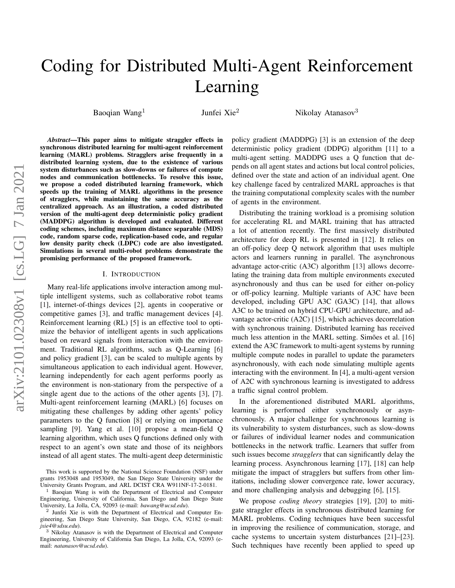# Coding for Distributed Multi-Agent Reinforcement Learning

Baoqian Wang<sup>1</sup>

Junfei Xie<sup>2</sup> Nikolay Atanasov<sup>3</sup>

*Abstract*—This paper aims to mitigate straggler effects in synchronous distributed learning for multi-agent reinforcement learning (MARL) problems. Stragglers arise frequently in a distributed learning system, due to the existence of various system disturbances such as slow-downs or failures of compute nodes and communication bottlenecks. To resolve this issue, we propose a coded distributed learning framework, which speeds up the training of MARL algorithms in the presence of stragglers, while maintaining the same accuracy as the centralized approach. As an illustration, a coded distributed version of the multi-agent deep deterministic policy gradient (MADDPG) algorithm is developed and evaluated. Different coding schemes, including maximum distance separable (MDS) code, random sparse code, replication-based code, and regular low density parity check (LDPC) code are also investigated. Simulations in several multi-robot problems demonstrate the promising performance of the proposed framework.

# I. INTRODUCTION

Many real-life applications involve interaction among multiple intelligent systems, such as collaborative robot teams [\[1\]](#page-5-0), internet-of-things devices [\[2\]](#page-6-0), agents in cooperative or competitive games [\[3\]](#page-6-1), and traffic management devices [\[4\]](#page-6-2). Reinforcement learning (RL) [\[5\]](#page-6-3) is an effective tool to optimize the behavior of intelligent agents in such applications based on reward signals from interaction with the environment. Traditional RL algorithms, such as Q-Learning [\[6\]](#page-6-4) and policy gradient [\[3\]](#page-6-1), can be scaled to multiple agents by simultaneous application to each individual agent. However, learning independently for each agent performs poorly as the environment is non-stationary from the perspective of a single agent due to the actions of the other agents [\[3\]](#page-6-1), [\[7\]](#page-6-5). Multi-agent reinforcement learning (MARL) [\[6\]](#page-6-4) focuses on mitigating these challenges by adding other agents' policy parameters to the Q function [\[8\]](#page-6-6) or relying on importance sampling [\[9\]](#page-6-7). Yang et al. [\[10\]](#page-6-8) propose a mean-field Q learning algorithm, which uses Q functions defined only with respect to an agent's own state and those of its neighbors instead of all agent states. The multi-agent deep deterministic policy gradient (MADDPG) [\[3\]](#page-6-1) is an extension of the deep deterministic policy gradient (DDPG) algorithm [\[11\]](#page-6-9) to a multi-agent setting. MADDPG uses a Q function that depends on all agent states and actions but local control policies, defined over the state and action of an individual agent. One key challenge faced by centralized MARL approaches is that the training computational complexity scales with the number of agents in the environment.

Distributing the training workload is a promising solution for accelerating RL and MARL training that has attracted a lot of attention recently. The first massively distributed architecture for deep RL is presented in [\[12\]](#page-6-10). It relies on an off-policy deep Q network algorithm that uses multiple actors and learners running in parallel. The asynchronous advantage actor-critic (A3C) algorithm [\[13\]](#page-6-11) allows decorrelating the training data from multiple environments executed asynchronously and thus can be used for either on-policy or off-policy learning. Multiple variants of A3C have been developed, including GPU A3C (GA3C) [\[14\]](#page-6-12), that allows A3C to be trained on hybrid CPU-GPU architecture, and advantage actor-critic (A2C) [\[15\]](#page-6-13), which achieves decorrelation with synchronous training. Distributed learning has received much less attention in the MARL setting. Simões et al. [[16\]](#page-6-14) extend the A3C framework to multi-agent systems by running multiple compute nodes in parallel to update the parameters asynchronously, with each node simulating multiple agents interacting with the environment. In [\[4\]](#page-6-2), a multi-agent version of A2C with synchronous learning is investigated to address a traffic signal control problem.

In the aforementioned distributed MARL algorithms, learning is performed either synchronously or asynchronously. A major challenge for synchronous learning is its vulnerability to system disturbances, such as slow-downs or failures of individual learner nodes and communication bottlenecks in the network traffic. Learners that suffer from such issues become *stragglers* that can significantly delay the learning process. Asynchronous learning [\[17\]](#page-6-15), [\[18\]](#page-6-16) can help mitigate the impact of stragglers but suffers from other limitations, including slower convergence rate, lower accuracy, and more challenging analysis and debugging [\[6\]](#page-6-4), [\[15\]](#page-6-13).

We propose *coding theory* strategies [\[19\]](#page-6-17), [\[20\]](#page-6-18) to mitigate straggler effects in synchronous distributed learning for MARL problems. Coding techniques have been successful in improving the resilience of communication, storage, and cache systems to uncertain system disturbances [\[21\]](#page-6-19)–[\[23\]](#page-6-20). Such techniques have recently been applied to speed up

This work is supported by the National Science Foundation (NSF) under grants 1953048 and 1953049, the San Diego State University under the University Grants Program, and ARL DCIST CRA W911NF-17-2-0181.

<sup>&</sup>lt;sup>1</sup> Baoqian Wang is with the Department of Electrical and Computer Engineering, University of California, San Diego and San Diego State University, La Jolla, CA, 92093 (e-mail: *bawang@ucsd.edu*).

<sup>2</sup> Junfei Xie is with the Department of Electrical and Computer Engineering, San Diego State University, San Diego, CA, 92182 (e-mail: *jxie4@sdsu.edu*).

<sup>3</sup> Nikolay Atanasov is with the Department of Electrical and Computer Engineering, University of California San Diego, La Jolla, CA, 92093 (email: *natanasov@ucsd.edu*).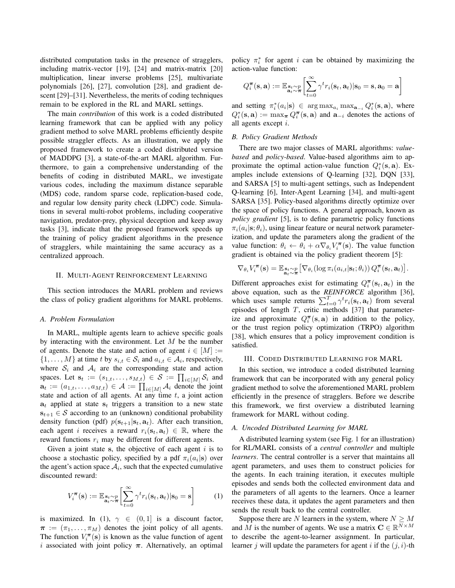distributed computation tasks in the presence of stragglers, including matrix-vector [\[19\]](#page-6-17), [\[24\]](#page-6-21) and matrix-matrix [\[20\]](#page-6-18) multiplication, linear inverse problems [\[25\]](#page-6-22), multivariate polynomials [\[26\]](#page-6-23), [\[27\]](#page-6-24), convolution [\[28\]](#page-6-25), and gradient descent [\[29\]](#page-6-26)–[\[31\]](#page-6-27). Nevertheless, the merits of coding techniques remain to be explored in the RL and MARL settings.

The main *contribution* of this work is a coded distributed learning framework that can be applied with any policy gradient method to solve MARL problems efficiently despite possible straggler effects. As an illustration, we apply the proposed framework to create a coded distributed version of MADDPG [\[3\]](#page-6-1), a state-of-the-art MARL algorithm. Furthermore, to gain a comprehensive understanding of the benefits of coding in distributed MARL, we investigate various codes, including the maximum distance separable (MDS) code, random sparse code, replication-based code, and regular low density parity check (LDPC) code. Simulations in several multi-robot problems, including cooperative navigation, predator-prey, physical deception and keep away tasks [\[3\]](#page-6-1), indicate that the proposed framework speeds up the training of policy gradient algorithms in the presence of stragglers, while maintaining the same accuracy as a centralized approach.

#### <span id="page-1-1"></span>II. MULTI-AGENT REINFORCEMENT LEARNING

This section introduces the MARL problem and reviews the class of policy gradient algorithms for MARL problems.

## *A. Problem Formulation*

In MARL, multiple agents learn to achieve specific goals by interacting with the environment. Let  $M$  be the number of agents. Denote the state and action of agent  $i \in [M] :=$  $\{1, \ldots, M\}$  at time t by  $s_{i,t} \in S_i$  and  $a_{i,t} \in A_i$ , respectively, where  $S_i$  and  $A_i$  are the corresponding state and action spaces. Let  $\mathbf{s}_t := (s_{1,t}, \dots, s_{M,t}) \in \mathcal{S} := \prod_{i \in [M]} \mathcal{S}_i$  and  $\mathbf{a}_t := (a_{1,t}, \dots, a_{M,t}) \in \mathcal{A} := \prod_{i \in [M]} \mathcal{A}_i$  denote the joint state and action of all agents. At any time  $t$ , a joint action  $a_t$  applied at state  $s_t$  triggers a transition to a new state  $s_{t+1} \in S$  according to an (unknown) conditional probability density function (pdf)  $p(\mathbf{s}_{t+1}|\mathbf{s}_t, \mathbf{a}_t)$ . After each transition, each agent i receives a reward  $r_i(s_t, a_t) \in \mathbb{R}$ , where the reward functions  $r_i$  may be different for different agents.

Given a joint state s, the objective of each agent  $i$  is to choose a stochastic policy, specified by a pdf  $\pi_i(a_i|\mathbf{s})$  over the agent's action space  $\mathcal{A}_i$ , such that the expected cumulative discounted reward:

<span id="page-1-0"></span>
$$
V_i^{\boldsymbol{\pi}}(\mathbf{s}) := \mathbb{E}_{\substack{\mathbf{s}_t \sim p \\ \mathbf{a}_t \sim \boldsymbol{\pi}}} \left[ \sum_{t=0}^{\infty} \gamma^t r_i(\mathbf{s}_t, \mathbf{a}_t) | \mathbf{s}_0 = \mathbf{s} \right]
$$
(1)

is maximized. In [\(1\)](#page-1-0),  $\gamma \in (0,1]$  is a discount factor,  $\pi := (\pi_1, \ldots, \pi_M)$  denotes the joint policy of all agents. The function  $V_i^{\pi}(\mathbf{s})$  is known as the value function of agent i associated with joint policy  $\pi$ . Alternatively, an optimal

policy  $\pi_i^*$  for agent i can be obtained by maximizing the action-value function:

$$
Q_i^{\boldsymbol{\pi}}(\mathbf{s}, \mathbf{a}) := \mathbb{E}_{\substack{\mathbf{s}_t \sim p \\ \mathbf{a}_t \sim \boldsymbol{\pi}}} \left[ \sum_{t=0}^{\infty} \gamma^t r_i(\mathbf{s}_t, \mathbf{a}_t) | \mathbf{s}_0 = \mathbf{s}, \mathbf{a}_0 = \mathbf{a} \right]
$$

and setting  $\pi_i^*(a_i|\mathbf{s}) \in \arg \max_{a_i} \max_{\mathbf{a}_{-i}} Q_i^*(\mathbf{s}, \mathbf{a})$ , where  $Q_i^*(\mathbf{s}, \mathbf{a}) := \max_{\pi} Q_i^{\pi}(\mathbf{s}, \mathbf{a})$  and  $\mathbf{a}_{-i}$  denotes the actions of all agents except i.

## *B. Policy Gradient Methods*

There are two major classes of MARL algorithms: *valuebased* and *policy-based*. Value-based algorithms aim to approximate the optimal action-value function  $Q_i^*(s, a)$ . Examples include extensions of Q-learning [\[32\]](#page-6-28), DQN [\[33\]](#page-6-29), and SARSA [\[5\]](#page-6-3) to multi-agent settings, such as Independent Q-learning [\[6\]](#page-6-4), Inter-Agent Learning [\[34\]](#page-6-30), and multi-agent SARSA [\[35\]](#page-6-31). Policy-based algorithms directly optimize over the space of policy functions. A general approach, known as *policy gradient* [\[5\]](#page-6-3), is to define parametric policy functions  $\pi_i(a_i|\mathbf{s}; \theta_i)$ , using linear feature or neural network parameterization, and update the parameters along the gradient of the value function:  $\theta_i \leftarrow \theta_i + \alpha \nabla_{\theta_i} V_i^{\pi}(\mathbf{s})$ . The value function gradient is obtained via the policy gradient theorem [\[5\]](#page-6-3):

$$
\nabla_{\theta_i} V_i^{\boldsymbol{\pi}}(\mathbf{s}) = \mathbb{E}_{\substack{\mathbf{s}_t \sim p \\ \mathbf{a}_t \sim \boldsymbol{\pi}}} \big[ \nabla_{\theta_i} (\log \pi_i(a_{i,t} | \mathbf{s}_t; \theta_i)) Q_i^{\boldsymbol{\pi}}(\mathbf{s}_t, \mathbf{a}_t) \big].
$$

Different approaches exist for estimating  $Q_i^{\pi}(\mathbf{s}_t, \mathbf{a}_t)$  in the above equation, such as the *REINFORCE* algorithm [\[36\]](#page-6-32), which uses sample returns  $\sum_{t=0}^{T} \gamma^t r_i(\mathbf{s}_t, \mathbf{a}_t)$  from several episodes of length  $T$ , critic methods [\[37\]](#page-6-33) that parameterize and approximate  $Q_i^{\pi}(\mathbf{s}, \mathbf{a})$  in addition to the policy, or the trust region policy optimization (TRPO) algorithm [\[38\]](#page-6-34), which ensures that a policy improvement condition is satisfied.

### III. CODED DISTRIBUTED LEARNING FOR MARL

In this section, we introduce a coded distributed learning framework that can be incorporated with any general policy gradient method to solve the aforementioned MARL problem efficiently in the presence of stragglers. Before we describe this framework, we first overview a distributed learning framework for MARL without coding.

# *A. Uncoded Distributed Learning for MARL*

A distributed learning system (see Fig. [1](#page-2-0) for an illustration) for RL/MARL consists of a *central controller* and multiple *learners*. The central controller is a server that maintains all agent parameters, and uses them to construct policies for the agents. In each training iteration, it executes multiple episodes and sends both the collected environment data and the parameters of all agents to the learners. Once a learner receives these data, it updates the agent parameters and then sends the result back to the central controller.

Suppose there are N learners in the system, where  $N \geq M$ and M is the number of agents. We use a matrix  $C \in \mathbb{R}^{N \times M}$ to describe the agent-to-learner assignment. In particular, learner j will update the parameters for agent i if the  $(j, i)$ -th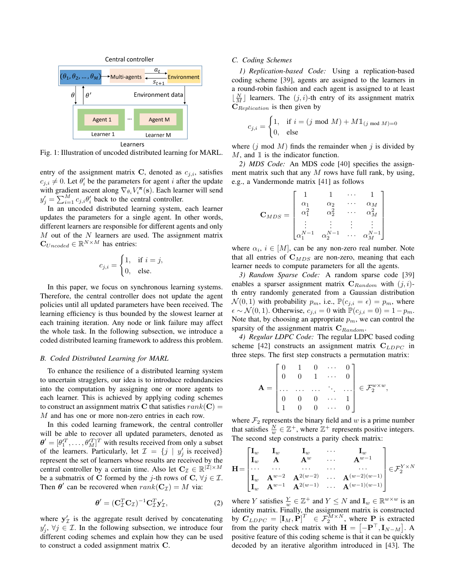<span id="page-2-0"></span>

Fig. 1: Illustration of uncoded distributed learning for MARL.

entry of the assignment matrix C, denoted as  $c_{j,i}$ , satisfies  $c_{j,i} \neq 0$ . Let  $\theta_i'$  be the parameters for agent i after the update with gradient ascent along  $\nabla_{\theta_i} V_i^{\pi}(\mathbf{s})$ . Each learner will send  $y'_j = \sum_{i=1}^M c_{j,i} \theta'_i$  back to the central controller.

In an uncoded distributed learning system, each learner updates the parameters for a single agent. In other words, different learners are responsible for different agents and only  $M$  out of the  $N$  learners are used. The assignment matrix  $\mathbf{C}_{Uncoded} \in \mathbb{R}^{N \times M}$  has entries:

<span id="page-2-1"></span>
$$
c_{j,i} = \begin{cases} 1, & \text{if } i = j, \\ 0, & \text{else.} \end{cases}
$$

In this paper, we focus on synchronous learning systems. Therefore, the central controller does not update the agent policies until all updated parameters have been received. The learning efficiency is thus bounded by the slowest learner at each training iteration. Any node or link failure may affect the whole task. In the following subsection, we introduce a coded distributed learning framework to address this problem.

# *B. Coded Distributed Learning for MARL*

To enhance the resilience of a distributed learning system to uncertain stragglers, our idea is to introduce redundancies into the computation by assigning one or more agents to each learner. This is achieved by applying coding schemes to construct an assignment matrix C that satisfies  $rank(C) =$ M and has one or more non-zero entries in each row.

In this coded learning framework, the central controller will be able to recover all updated parameters, denoted as  $\boldsymbol{\theta}' = [\theta_1'^T, \dots, \theta_M'^T]^T$  with results received from only a subset of the learners. Particularly, let  $\mathcal{I} = \{j \mid y'_j \text{ is received}\}\$ represent the set of learners whose results are received by the central controller by a certain time. Also let  $C_{\mathcal{I}} \in \mathbb{R}^{|\mathcal{I}| \times M}$ be a submatrix of C formed by the j-th rows of C,  $\forall j \in \mathcal{I}$ . Then  $\theta'$  can be recovered when  $rank(C_{\mathcal{I}}) = M$  via:

$$
\boldsymbol{\theta}' = (\mathbf{C}_{\mathcal{I}}^T \mathbf{C}_{\mathcal{I}})^{-1} \mathbf{C}_{\mathcal{I}}^T \mathbf{y}'_{\mathcal{I}},\tag{2}
$$

where  $y'_\text{I}$  is the aggregate result derived by concatenating  $y'_j$ ,  $\forall j \in \mathcal{I}$ . In the following subsection, we introduce four different coding schemes and explain how they can be used to construct a coded assignment matrix C.

# *C. Coding Schemes*

*1) Replication-based Code:* Using a replication-based coding scheme [\[39\]](#page-6-35), agents are assigned to the learners in a round-robin fashion and each agent is assigned to at least  $\lfloor \frac{N}{M} \rfloor$  learners. The  $(j, i)$ -th entry of its assignment matrix  $C_{Replication}$  is then given by

$$
c_{j,i} = \begin{cases} 1, & \text{if } i = (j \text{ mod } M) + M1\mathbb{1}_{(j \text{ mod } M) = 0} \\ 0, & \text{else} \end{cases}
$$

where  $(j \mod M)$  finds the remainder when j is divided by  $M$ , and  $\mathbbm{1}$  is the indicator function.

*2) MDS Code:* An MDS code [\[40\]](#page-6-36) specifies the assignment matrix such that any  $M$  rows have full rank, by using, e.g., a Vandermonde matrix [\[41\]](#page-6-37) as follows

$$
\mathbf{C}_{MDS} = \begin{bmatrix} 1 & 1 & \cdots & 1 \\ \alpha_1 & \alpha_2 & \cdots & \alpha_M \\ \alpha_1^2 & \alpha_2^2 & \cdots & \alpha_M^2 \\ \vdots & \vdots & \vdots & \vdots \\ \alpha_1^{N-1} & \alpha_2^{N-1} & \cdots & \alpha_M^{N-1} \end{bmatrix}
$$

where  $\alpha_i$ ,  $i \in [M]$ , can be any non-zero real number. Note that all entries of  $C_{MDS}$  are non-zero, meaning that each learner needs to compute parameters for all the agents.

*3) Random Sparse Code:* A random sparse code [\[39\]](#page-6-35) enables a sparser assignment matrix  $C_{Random}$  with  $(j, i)$ th entry randomly generated from a Gaussian distribution  $\mathcal{N}(0, 1)$  with probability  $p_m$ , i.e.,  $\mathbb{P}(c_{j,i} = \epsilon) = p_m$ , where  $\epsilon \sim \mathcal{N}(0, 1)$ . Otherwise,  $c_{j,i} = 0$  with  $\mathbb{P}(c_{j,i} = 0) = 1 - p_m$ . Note that, by choosing an appropriate  $p_m$ , we can control the sparsity of the assignment matrix  $C_{Random}$ .

*4) Regular LDPC Code:* The regular LDPC based coding scheme [\[42\]](#page-6-38) constructs an assignment matrix  $C_{LDPC}$  in three steps. The first step constructs a permutation matrix:

$$
\mathbf{A} = \begin{bmatrix} 0 & 1 & 0 & \cdots & 0 \\ 0 & 0 & 1 & \cdots & 0 \\ \cdots & \cdots & \cdots & \ddots & \cdots \\ 0 & 0 & 0 & \cdots & 1 \\ 1 & 0 & 0 & \cdots & 0 \end{bmatrix} \in \mathcal{F}_2^{w \times w},
$$

where  $\mathcal{F}_2$  represents the binary field and w is a prime number that satisfies  $\frac{N}{w} \in \mathbb{Z}^+$ , where  $\mathbb{Z}^+$  represents positive integers. The second step constructs a parity check matrix:

$$
\mathbf{H} = \begin{bmatrix} \mathbf{I}_{w} & \mathbf{I}_{w} & \mathbf{I}_{w} & \cdots & \mathbf{I}_{w} \\ \mathbf{I}_{w} & \mathbf{A} & \mathbf{A}^{w} & \cdots & \mathbf{A}^{w-1} \\ \cdots & \cdots & \cdots & \cdots & \cdots \\ \mathbf{I}_{w} & \mathbf{A}^{w-2} & \mathbf{A}^{2(w-2)} & \cdots & \mathbf{A}^{(w-2)(w-1)} \\ \mathbf{I}_{w} & \mathbf{A}^{w-1} & \mathbf{A}^{2(w-1)} & \cdots & \mathbf{A}^{(w-1)(w-1)} \end{bmatrix} \in \mathcal{F}_{2}^{Y \times N}
$$

where Y satisfies  $\frac{Y}{w} \in \mathbb{Z}^+$  and  $Y \leq N$  and  $\mathbf{I}_w \in \mathbb{R}^{w \times w}$  is an identity matrix. Finally, the assignment matrix is constructed by  $\mathbf{C}_{LDPC} = [\mathbf{I}_M, \mathbf{P}]^T \in \mathcal{F}_2^{M \times N}$ , where  $\mathbf{P}_1$  is extracted from the parity check matrix with  $\mathbf{H} = [-\mathbf{P}^{\top}, \mathbf{I}_{N-M}]$ . A positive feature of this coding scheme is that it can be quickly decoded by an iterative algorithm introduced in [\[43\]](#page-6-39). The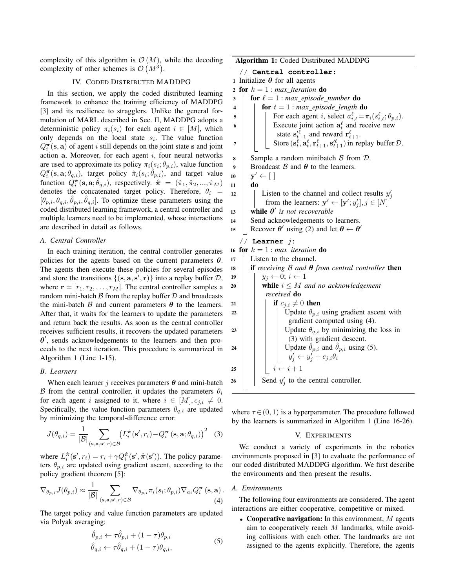complexity of this algorithm is  $\mathcal{O}(M)$ , while the decoding complexity of other schemes is  $\mathcal{O}(M^3)$ .

# IV. CODED DISTRIBUTED MADDPG

In this section, we apply the coded distributed learning framework to enhance the training efficiency of MADDPG [\[3\]](#page-6-1) and its resilience to stragglers. Unlike the general formulation of MARL described in Sec. [II,](#page-1-1) MADDPG adopts a deterministic policy  $\pi_i(s_i)$  for each agent  $i \in [M]$ , which only depends on the local state  $s_i$ . The value function  $Q_i^{\pi}(\mathbf{s}, \mathbf{a})$  of agent *i* still depends on the joint state s and joint action  $a$ . Moreover, for each agent  $i$ , four neural networks are used to approximate its policy  $\pi_i(s_i; \theta_{p,i})$ , value function  $Q_i^{\pi}$ (s, a;  $\theta_{q,i}$ ), target policy  $\hat{\pi}_i(s_i; \hat{\theta}_{p,i})$ , and target value function  $\hat{Q}_{i}^{\hat{\pi}}(\mathbf{s}, \mathbf{a}; \hat{\theta}_{q,i})$ , respectively.  $\hat{\pi} = (\hat{\pi}_1, \hat{\pi}_2, ..., \hat{\pi}_M)$ denotes the concatenated target policy. Therefore,  $\theta_i$  =  $[\theta_{p,i}, \theta_{q,i}, \hat{\theta}_{p,i}, \hat{\theta}_{q,i}]$ . To optimize these parameters using the coded distributed learning framework, a central controller and multiple learners need to be implemented, whose interactions are described in detail as follows.

# *A. Central Controller*

In each training iteration, the central controller generates policies for the agents based on the current parameters  $\theta$ . The agents then execute these policies for several episodes and store the transitions  $\{(\mathbf{s}, \mathbf{a}, \mathbf{s}', \mathbf{r})\}$  into a replay buffer  $D$ , where  $\mathbf{r} = [r_1, r_2, \dots, r_M]$ . The central controller samples a random mini-batch  $\beta$  from the replay buffer  $\mathcal D$  and broadcasts the mini-batch  $\beta$  and current parameters  $\theta$  to the learners. After that, it waits for the learners to update the parameters and return back the results. As soon as the central controller receives sufficient results, it recovers the updated parameters  $\theta'$ , sends acknowledgements to the learners and then proceeds to the next iteration. This procedure is summarized in Algorithm [1](#page-3-0) (Line 1-15).

#### *B. Learners*

When each learner j receives parameters  $\theta$  and mini-batch B from the central controller, it updates the parameters  $\theta_i$ for each agent i assigned to it, where  $i \in [M], c_{j,i} \neq 0$ . Specifically, the value function parameters  $\theta_{q,i}$  are updated by minimizing the temporal-difference error:

<span id="page-3-2"></span>
$$
J(\theta_{q,i}) = \frac{1}{|\mathcal{B}|} \sum_{(\mathbf{s}, \mathbf{a}, \mathbf{s}', r) \in \mathcal{B}} \left( L_i^{\hat{\pi}}(\mathbf{s}', r_i) - Q_i^{\pi}(\mathbf{s}, \mathbf{a}; \theta_{q,i}) \right)^2 \quad (3)
$$

where  $L_i^{\hat{\pi}}(\mathbf{s}', r_i) = r_i + \gamma Q_i^{\hat{\pi}}(\mathbf{s}', \hat{\pi}(\mathbf{s}'))$ . The policy parameters  $\theta_{p,i}$  are updated using gradient ascent, according to the policy gradient theorem [\[5\]](#page-6-3):

$$
\nabla_{\theta_{p,i}} J(\theta_{p,i}) \approx \frac{1}{|\mathcal{B}|} \sum_{(\mathbf{s}, \mathbf{a}, \mathbf{s}', r) \in \mathcal{B}} \nabla_{\theta_{p,i}} \pi_i(s_i; \theta_{p,i}) \nabla_{a_i} Q_i^{\pi} (\mathbf{s}, \mathbf{a}).
$$
\n(4)

The target policy and value function parameters are updated via Polyak averaging:

<span id="page-3-3"></span>
$$
\hat{\theta}_{p,i} \leftarrow \tau \hat{\theta}_{p,i} + (1 - \tau) \theta_{p,i} \n\hat{\theta}_{q,i} \leftarrow \tau \hat{\theta}_{q,i} + (1 - \tau) \theta_{q,i},
$$
\n(5)

Algorithm 1: Coded Distributed MADDPG // **Central controller:** 1 Initialize  $\theta$  for all agents 2 for  $k = 1$  : *max\_iteration* do 3 **for**  $\ell = 1$  : *max\_episode\_number* do 4 **for**  $t = 1$  : *max episode length* **do** 5 | | For each agent i, select  $a_{i,t}^{\ell} = \pi_i(s_{i,t}^{\ell}; \theta_{p,i}).$ 6 **Execute** joint action  $a_t^{\ell}$  and receive new state  $\mathbf{s}'_{t+1}$  and reward  $\mathbf{r}'_{t+1}$ .  $\tau$  | | Store  $(s_t^{\ell}, a_t^{\ell}, r_{t+1}^{\ell}, s_{t+1}^{\ell})$  in replay buffer  $\mathcal{D}$ . 8 Sample a random minibatch  $\beta$  from  $\mathcal{D}$ . 9 Broadcast B and  $\theta$  to the learners.  $10$  $y' \leftarrow [$ 11 do 12 | Listen to the channel and collect results  $y'_j$ from the learners:  $y' \leftarrow [y'; y'_j], j \in [N]$ 13 while  $\theta'$  is not recoverable 14 | Send acknowledgements to learners. 15 Recover  $\theta'$  using [\(2\)](#page-2-1) and let  $\theta \leftarrow \theta'$ // **Learner** j**:** 16 for  $k = 1$  : *max iteration* do <sup>17</sup> Listen to the channel. <sup>18</sup> if *receiving* B *and* θ *from central controller* then 19  $\vert y_i \leftarrow 0; i \leftarrow 1$ 20 **while**  $i \leq M$  *and no acknowledgement received* do 21 if  $c_{i,i} \neq 0$  then 22 | | | Update  $\theta_{p,i}$  using gradient ascent with gradient computed using [\(4\)](#page-3-1). 23 | | | Update  $\theta_{q,i}$  by minimizing the loss in [\(3\)](#page-3-2) with gradient descent. 24 Update  $\hat{\theta}_{p,i}$  and  $\hat{\theta}_{p,i}$  using [\(5\)](#page-3-3).  $y'_j \leftarrow y'_j + c_{j,i} \theta_i$ 25  $\vert \vert \vert i \leftarrow i + 1$ 26 Send  $y'_j$  to the central controller.

<span id="page-3-0"></span>where  $\tau \in (0, 1)$  is a hyperparameter. The procedure followed by the learners is summarized in Algorithm [1](#page-3-0) (Line 16-26).

#### V. EXPERIMENTS

We conduct a variety of experiments in the robotics environments proposed in [\[3\]](#page-6-1) to evaluate the performance of our coded distributed MADDPG algorithm. We first describe the environments and then present the results.

# *A. Environments*

<span id="page-3-1"></span>The following four environments are considered. The agent interactions are either cooperative, competitive or mixed.

• Cooperative navigation: In this environment,  $M$  agents aim to cooperatively reach  $M$  landmarks, while avoiding collisions with each other. The landmarks are not assigned to the agents explicitly. Therefore, the agents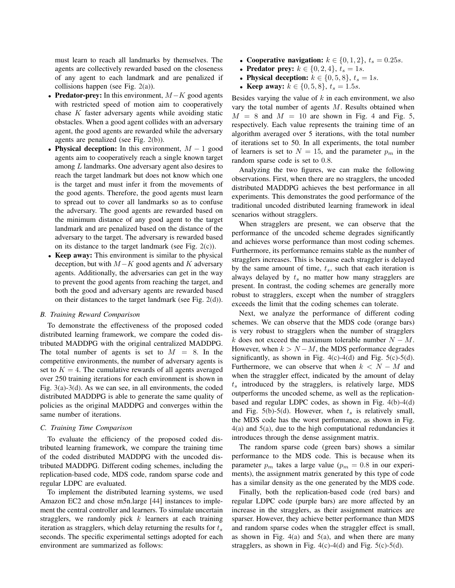must learn to reach all landmarks by themselves. The agents are collectively rewarded based on the closeness of any agent to each landmark and are penalized if collisions happen (see Fig. [2\(a\)\)](#page-5-1).

- Predator-prey: In this environment,  $M-K$  good agents with restricted speed of motion aim to cooperatively chase  $K$  faster adversary agents while avoiding static obstacles. When a good agent collides with an adversary agent, the good agents are rewarded while the adversary agents are penalized (see Fig. [2\(b\)\)](#page-5-2).
- Physical deception: In this environment,  $M 1$  good agents aim to cooperatively reach a single known target among L landmarks. One adversary agent also desires to reach the target landmark but does not know which one is the target and must infer it from the movements of the good agents. Therefore, the good agents must learn to spread out to cover all landmarks so as to confuse the adversary. The good agents are rewarded based on the minimum distance of any good agent to the target landmark and are penalized based on the distance of the adversary to the target. The adversary is rewarded based on its distance to the target landmark (see Fig. [2\(c\)\)](#page-5-3).
- Keep away: This environment is similar to the physical deception, but with  $M-K$  good agents and K adversary agents. Additionally, the adversaries can get in the way to prevent the good agents from reaching the target, and both the good and adversary agents are rewarded based on their distances to the target landmark (see Fig. [2\(d\)\)](#page-5-4).

## *B. Training Reward Comparison*

To demonstrate the effectiveness of the proposed coded distributed learning framework, we compare the coded distributed MADDPG with the original centralized MADDPG. The total number of agents is set to  $M = 8$ . In the competitive environments, the number of adversary agents is set to  $K = 4$ . The cumulative rewards of all agents averaged over 250 training iterations for each environment is shown in Fig. [3\(a\)-](#page-5-5)[3\(d\).](#page-5-6) As we can see, in all environments, the coded distributed MADDPG is able to generate the same quality of policies as the original MADDPG and converges within the same number of iterations.

# *C. Training Time Comparison*

To evaluate the efficiency of the proposed coded distributed learning framework, we compare the training time of the coded distributed MADDPG with the uncoded distributed MADDPG. Different coding schemes, including the replication-based code, MDS code, random sparse code and regular LDPC are evaluated.

To implement the distributed learning systems, we used Amazon EC2 and chose m5n.large [\[44\]](#page-6-40) instances to implement the central controller and learners. To simulate uncertain stragglers, we randomly pick  $k$  learners at each training iteration as stragglers, which delay returning the results for  $t_s$ seconds. The specific experimental settings adopted for each environment are summarized as follows:

- Cooperative navigation:  $k \in \{0, 1, 2\}, t_s = 0.25s$ .
- **Predator prey:**  $k \in \{0, 2, 4\}, t_s = 1s$ .
- Physical deception:  $k \in \{0, 5, 8\}, t_s = 1s$ .
- Keep away:  $k \in \{0, 5, 8\}, t_s = 1.5s$ .

Besides varying the value of  $k$  in each environment, we also vary the total number of agents M. Results obtained when  $M = 8$  and  $M = 10$  are shown in Fig. [4](#page-5-7) and Fig. [5,](#page-5-8) respectively. Each value represents the training time of an algorithm averaged over 5 iterations, with the total number of iterations set to 50. In all experiments, the total number of learners is set to  $N = 15$ , and the parameter  $p_m$  in the random sparse code is set to 0.8.

Analyzing the two figures, we can make the following observations. First, when there are no stragglers, the uncoded distributed MADDPG achieves the best performance in all experiments. This demonstrates the good performance of the traditional uncoded distributed learning framework in ideal scenarios without stragglers.

When stragglers are present, we can observe that the performance of the uncoded scheme degrades significantly and achieves worse performance than most coding schemes. Furthermore, its performance remains stable as the number of stragglers increases. This is because each straggler is delayed by the same amount of time,  $t_s$ , such that each iteration is always delayed by  $t_s$  no matter how many stragglers are present. In contrast, the coding schemes are generally more robust to stragglers, except when the number of stragglers exceeds the limit that the coding schemes can tolerate.

Next, we analyze the performance of different coding schemes. We can observe that the MDS code (orange bars) is very robust to stragglers when the number of stragglers k does not exceed the maximum tolerable number  $N - M$ . However, when  $k > N - M$ , the MDS performance degrades significantly, as shown in Fig.  $4(c) - 4(d)$  $4(c) - 4(d)$  and Fig.  $5(c) - 5(d)$ . Furthermore, we can observe that when  $k < N - M$  and when the straggler effect, indicated by the amount of delay  $t<sub>s</sub>$  introduced by the stragglers, is relatively large, MDS outperforms the uncoded scheme, as well as the replicationbased and regular LDPC codes, as shown in Fig. [4\(b\)](#page-5-13)[-4\(d\)](#page-5-10) and Fig. [5\(b\)](#page-5-14)[-5\(d\).](#page-5-12) However, when  $t<sub>s</sub>$  is relatively small, the MDS code has the worst performance, as shown in Fig.  $4(a)$  and  $5(a)$ , due to the high computational redundancies it introduces through the dense assignment matrix.

The random sparse code (green bars) shows a similar performance to the MDS code. This is because when its parameter  $p_m$  takes a large value  $(p_m = 0.8$  in our experiments), the assignment matrix generated by this type of code has a similar density as the one generated by the MDS code.

Finally, both the replication-based code (red bars) and regular LDPC code (purple bars) are more affected by an increase in the stragglers, as their assignment matrices are sparser. However, they achieve better performance than MDS and random sparse codes when the straggler effect is small, as shown in Fig.  $4(a)$  and  $5(a)$ , and when there are many stragglers, as shown in Fig.  $4(c) - 4(d)$  $4(c) - 4(d)$  and Fig.  $5(c) - 5(d)$  $5(c) - 5(d)$ .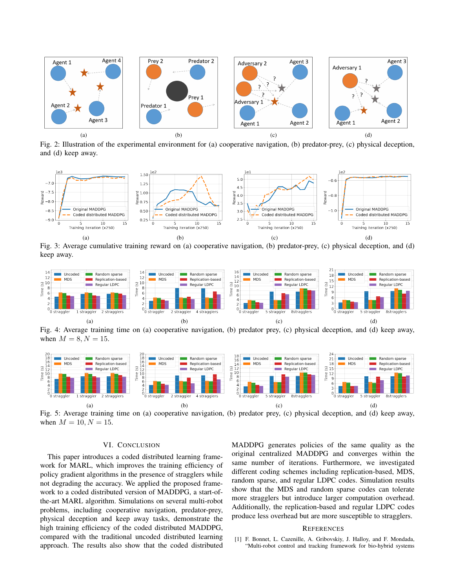<span id="page-5-1"></span>

<span id="page-5-4"></span><span id="page-5-3"></span><span id="page-5-2"></span>Fig. 2: Illustration of the experimental environment for (a) cooperative navigation, (b) predator-prey, (c) physical deception, and (d) keep away.



<span id="page-5-5"></span>Fig. 3: Average cumulative training reward on (a) cooperative navigation, (b) predator-prey, (c) physical deception, and (d) keep away.

<span id="page-5-15"></span><span id="page-5-7"></span>

<span id="page-5-13"></span>Fig. 4: Average training time on (a) cooperative navigation, (b) predator prey, (c) physical deception, and (d) keep away, when  $M = 8, N = 15$ .

<span id="page-5-16"></span><span id="page-5-8"></span>

Fig. 5: Average training time on (a) cooperative navigation, (b) predator prey, (c) physical deception, and (d) keep away, when  $M = 10, N = 15$ .

# <span id="page-5-14"></span>VI. CONCLUSION

This paper introduces a coded distributed learning framework for MARL, which improves the training efficiency of policy gradient algorithms in the presence of stragglers while not degrading the accuracy. We applied the proposed framework to a coded distributed version of MADDPG, a start-ofthe-art MARL algorithm. Simulations on several multi-robot problems, including cooperative navigation, predator-prey, physical deception and keep away tasks, demonstrate the high training efficiency of the coded distributed MADDPG, compared with the traditional uncoded distributed learning approach. The results also show that the coded distributed

<span id="page-5-12"></span><span id="page-5-11"></span><span id="page-5-10"></span><span id="page-5-9"></span><span id="page-5-6"></span>MADDPG generates policies of the same quality as the original centralized MADDPG and converges within the same number of iterations. Furthermore, we investigated different coding schemes including replication-based, MDS, random sparse, and regular LDPC codes. Simulation results show that the MDS and random sparse codes can tolerate more stragglers but introduce larger computation overhead. Additionally, the replication-based and regular LDPC codes produce less overhead but are more susceptible to stragglers.

## **REFERENCES**

<span id="page-5-0"></span>[1] F. Bonnet, L. Cazenille, A. Gribovskiy, J. Halloy, and F. Mondada, "Multi-robot control and tracking framework for bio-hybrid systems